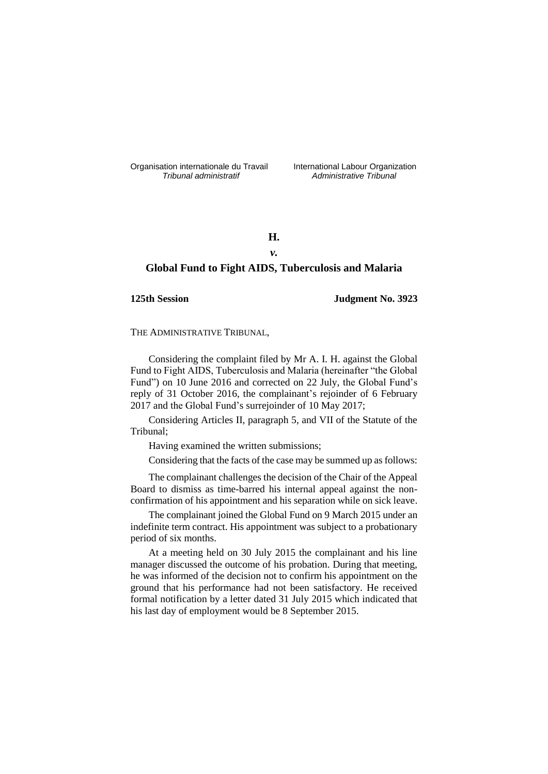Organisation internationale du Travail liternational Labour Organization<br> *Tribunal administratif Administrative Tribunal* 

*Tribunal administratif Administrative Tribunal*

# **H.**

# *v.*

# **Global Fund to Fight AIDS, Tuberculosis and Malaria**

## **125th Session Judgment No. 3923**

THE ADMINISTRATIVE TRIBUNAL,

Considering the complaint filed by Mr A. I. H. against the Global Fund to Fight AIDS, Tuberculosis and Malaria (hereinafter "the Global Fund") on 10 June 2016 and corrected on 22 July, the Global Fund's reply of 31 October 2016, the complainant's rejoinder of 6 February 2017 and the Global Fund's surrejoinder of 10 May 2017;

Considering Articles II, paragraph 5, and VII of the Statute of the Tribunal;

Having examined the written submissions;

Considering that the facts of the case may be summed up as follows:

The complainant challenges the decision of the Chair of the Appeal Board to dismiss as time-barred his internal appeal against the nonconfirmation of his appointment and his separation while on sick leave.

The complainant joined the Global Fund on 9 March 2015 under an indefinite term contract. His appointment was subject to a probationary period of six months.

At a meeting held on 30 July 2015 the complainant and his line manager discussed the outcome of his probation. During that meeting, he was informed of the decision not to confirm his appointment on the ground that his performance had not been satisfactory. He received formal notification by a letter dated 31 July 2015 which indicated that his last day of employment would be 8 September 2015.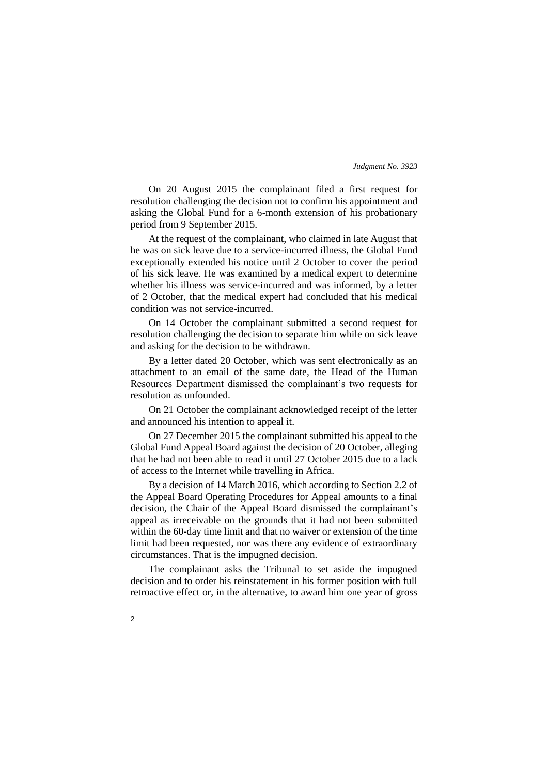On 20 August 2015 the complainant filed a first request for resolution challenging the decision not to confirm his appointment and asking the Global Fund for a 6-month extension of his probationary period from 9 September 2015.

At the request of the complainant, who claimed in late August that he was on sick leave due to a service-incurred illness, the Global Fund exceptionally extended his notice until 2 October to cover the period of his sick leave. He was examined by a medical expert to determine whether his illness was service-incurred and was informed, by a letter of 2 October, that the medical expert had concluded that his medical condition was not service-incurred.

On 14 October the complainant submitted a second request for resolution challenging the decision to separate him while on sick leave and asking for the decision to be withdrawn.

By a letter dated 20 October, which was sent electronically as an attachment to an email of the same date, the Head of the Human Resources Department dismissed the complainant's two requests for resolution as unfounded.

On 21 October the complainant acknowledged receipt of the letter and announced his intention to appeal it.

On 27 December 2015 the complainant submitted his appeal to the Global Fund Appeal Board against the decision of 20 October, alleging that he had not been able to read it until 27 October 2015 due to a lack of access to the Internet while travelling in Africa.

By a decision of 14 March 2016, which according to Section 2.2 of the Appeal Board Operating Procedures for Appeal amounts to a final decision, the Chair of the Appeal Board dismissed the complainant's appeal as irreceivable on the grounds that it had not been submitted within the 60-day time limit and that no waiver or extension of the time limit had been requested, nor was there any evidence of extraordinary circumstances. That is the impugned decision.

The complainant asks the Tribunal to set aside the impugned decision and to order his reinstatement in his former position with full retroactive effect or, in the alternative, to award him one year of gross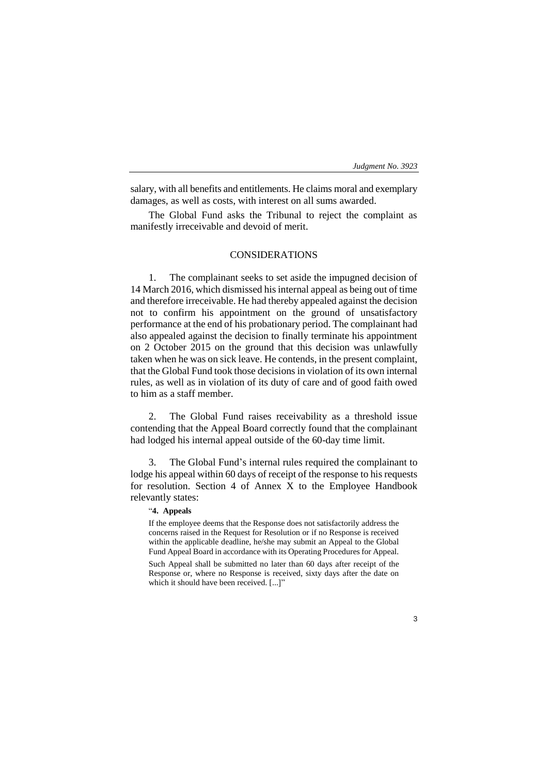salary, with all benefits and entitlements. He claims moral and exemplary damages, as well as costs, with interest on all sums awarded.

The Global Fund asks the Tribunal to reject the complaint as manifestly irreceivable and devoid of merit.

## CONSIDERATIONS

1. The complainant seeks to set aside the impugned decision of 14 March 2016, which dismissed his internal appeal as being out of time and therefore irreceivable. He had thereby appealed against the decision not to confirm his appointment on the ground of unsatisfactory performance at the end of his probationary period. The complainant had also appealed against the decision to finally terminate his appointment on 2 October 2015 on the ground that this decision was unlawfully taken when he was on sick leave. He contends, in the present complaint, that the Global Fund took those decisions in violation of its own internal rules, as well as in violation of its duty of care and of good faith owed to him as a staff member.

2. The Global Fund raises receivability as a threshold issue contending that the Appeal Board correctly found that the complainant had lodged his internal appeal outside of the 60-day time limit.

3. The Global Fund's internal rules required the complainant to lodge his appeal within 60 days of receipt of the response to his requests for resolution. Section 4 of Annex X to the Employee Handbook relevantly states:

## "**4. Appeals**

If the employee deems that the Response does not satisfactorily address the concerns raised in the Request for Resolution or if no Response is received within the applicable deadline, he/she may submit an Appeal to the Global Fund Appeal Board in accordance with its Operating Procedures for Appeal.

Such Appeal shall be submitted no later than 60 days after receipt of the Response or, where no Response is received, sixty days after the date on which it should have been received. [...]"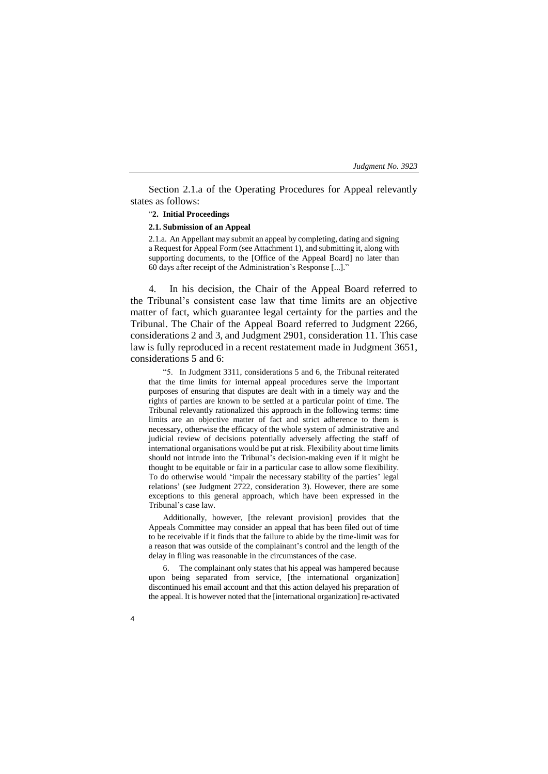Section 2.1.a of the Operating Procedures for Appeal relevantly states as follows:

## "**2. Initial Proceedings**

## **2.1. Submission of an Appeal**

2.1.a. An Appellant may submit an appeal by completing, dating and signing a Request for Appeal Form (see Attachment 1), and submitting it, along with supporting documents, to the [Office of the Appeal Board] no later than 60 days after receipt of the Administration's Response [...]."

4. In his decision, the Chair of the Appeal Board referred to the Tribunal's consistent case law that time limits are an objective matter of fact, which guarantee legal certainty for the parties and the Tribunal. The Chair of the Appeal Board referred to Judgment 2266, considerations 2 and 3, and Judgment 2901, consideration 11. This case law is fully reproduced in a recent restatement made in Judgment 3651, considerations 5 and 6:

"5. In Judgment 3311, considerations 5 and 6, the Tribunal reiterated that the time limits for internal appeal procedures serve the important purposes of ensuring that disputes are dealt with in a timely way and the rights of parties are known to be settled at a particular point of time. The Tribunal relevantly rationalized this approach in the following terms: time limits are an objective matter of fact and strict adherence to them is necessary, otherwise the efficacy of the whole system of administrative and judicial review of decisions potentially adversely affecting the staff of international organisations would be put at risk. Flexibility about time limits should not intrude into the Tribunal's decision-making even if it might be thought to be equitable or fair in a particular case to allow some flexibility. To do otherwise would 'impair the necessary stability of the parties' legal relations' (see Judgment 2722, consideration 3). However, there are some exceptions to this general approach, which have been expressed in the Tribunal's case law.

Additionally, however, [the relevant provision] provides that the Appeals Committee may consider an appeal that has been filed out of time to be receivable if it finds that the failure to abide by the time-limit was for a reason that was outside of the complainant's control and the length of the delay in filing was reasonable in the circumstances of the case.

6. The complainant only states that his appeal was hampered because upon being separated from service, [the international organization] discontinued his email account and that this action delayed his preparation of the appeal. It is however noted that the [international organization] re-activated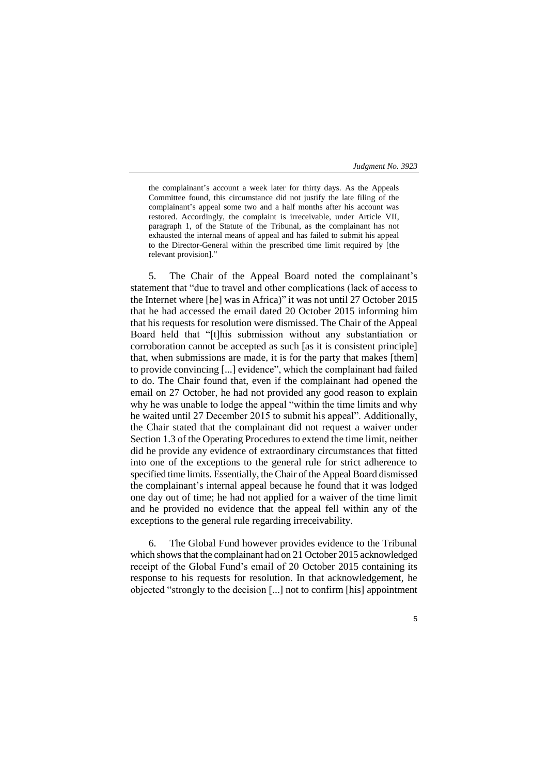5

the complainant's account a week later for thirty days. As the Appeals Committee found, this circumstance did not justify the late filing of the complainant's appeal some two and a half months after his account was restored. Accordingly, the complaint is irreceivable, under Article VII, paragraph 1, of the Statute of the Tribunal, as the complainant has not exhausted the internal means of appeal and has failed to submit his appeal to the Director-General within the prescribed time limit required by [the relevant provision]."

5. The Chair of the Appeal Board noted the complainant's statement that "due to travel and other complications (lack of access to the Internet where [he] was in Africa)" it was not until 27 October 2015 that he had accessed the email dated 20 October 2015 informing him that his requests for resolution were dismissed. The Chair of the Appeal Board held that "[t]his submission without any substantiation or corroboration cannot be accepted as such [as it is consistent principle] that, when submissions are made, it is for the party that makes [them] to provide convincing [...] evidence", which the complainant had failed to do. The Chair found that, even if the complainant had opened the email on 27 October, he had not provided any good reason to explain why he was unable to lodge the appeal "within the time limits and why he waited until 27 December 2015 to submit his appeal". Additionally, the Chair stated that the complainant did not request a waiver under Section 1.3 of the Operating Procedures to extend the time limit, neither did he provide any evidence of extraordinary circumstances that fitted into one of the exceptions to the general rule for strict adherence to specified time limits. Essentially, the Chair of the Appeal Board dismissed the complainant's internal appeal because he found that it was lodged one day out of time; he had not applied for a waiver of the time limit and he provided no evidence that the appeal fell within any of the exceptions to the general rule regarding irreceivability.

6. The Global Fund however provides evidence to the Tribunal which shows that the complainant had on 21 October 2015 acknowledged receipt of the Global Fund's email of 20 October 2015 containing its response to his requests for resolution. In that acknowledgement, he objected "strongly to the decision [...] not to confirm [his] appointment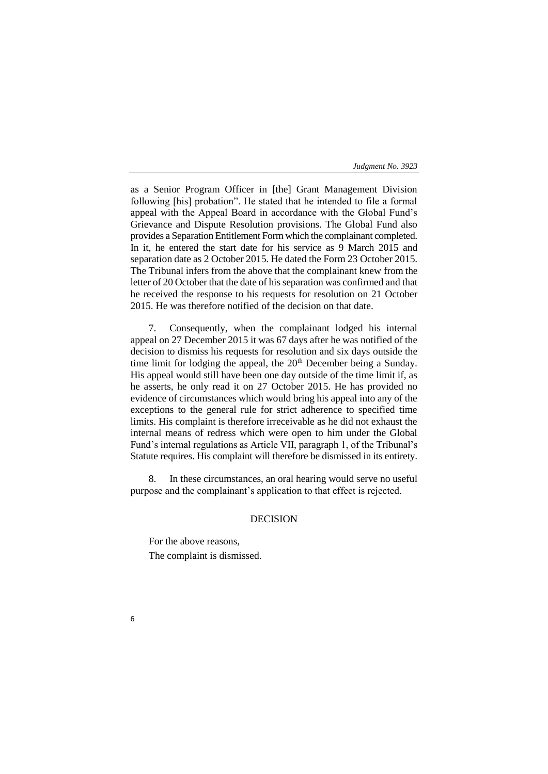as a Senior Program Officer in [the] Grant Management Division following [his] probation". He stated that he intended to file a formal appeal with the Appeal Board in accordance with the Global Fund's Grievance and Dispute Resolution provisions. The Global Fund also provides a Separation Entitlement Form which the complainant completed. In it, he entered the start date for his service as 9 March 2015 and separation date as 2 October 2015. He dated the Form 23 October 2015. The Tribunal infers from the above that the complainant knew from the letter of 20 October that the date of his separation was confirmed and that he received the response to his requests for resolution on 21 October 2015. He was therefore notified of the decision on that date.

7. Consequently, when the complainant lodged his internal appeal on 27 December 2015 it was 67 days after he was notified of the decision to dismiss his requests for resolution and six days outside the time limit for lodging the appeal, the  $20<sup>th</sup>$  December being a Sunday. His appeal would still have been one day outside of the time limit if, as he asserts, he only read it on 27 October 2015. He has provided no evidence of circumstances which would bring his appeal into any of the exceptions to the general rule for strict adherence to specified time limits. His complaint is therefore irreceivable as he did not exhaust the internal means of redress which were open to him under the Global Fund's internal regulations as Article VII, paragraph 1, of the Tribunal's Statute requires. His complaint will therefore be dismissed in its entirety.

8. In these circumstances, an oral hearing would serve no useful purpose and the complainant's application to that effect is rejected.

# DECISION

For the above reasons, The complaint is dismissed.